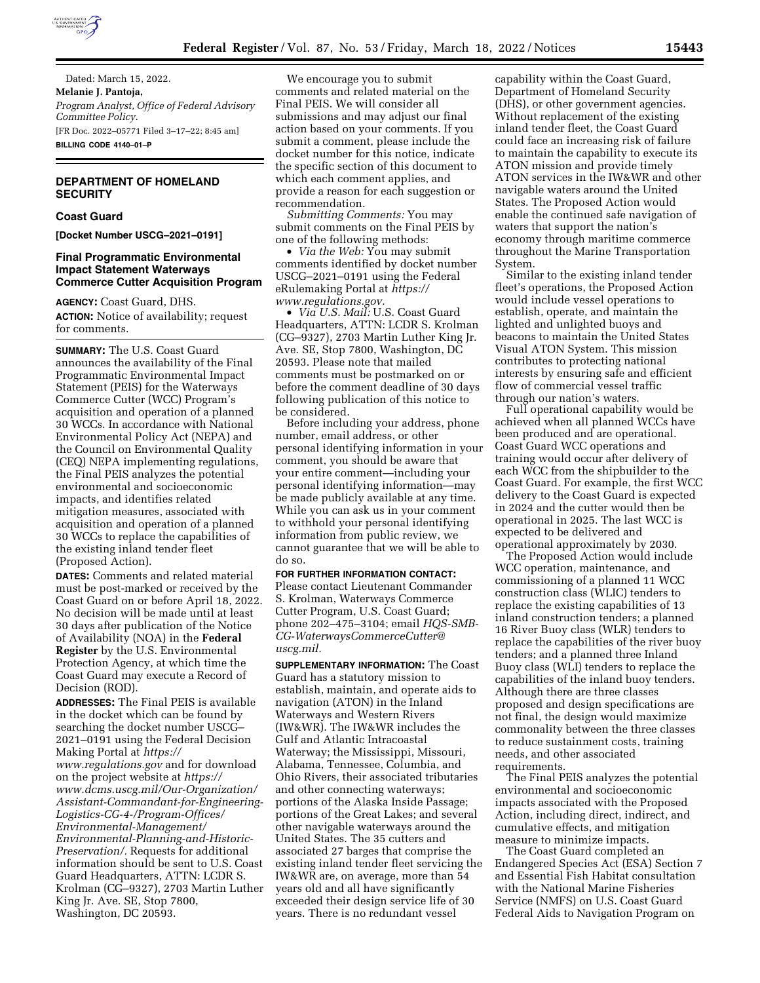

Dated: March 15, 2022. **Melanie J. Pantoja,**  *Program Analyst, Office of Federal Advisory Committee Policy.*  [FR Doc. 2022–05771 Filed 3–17–22; 8:45 am] **BILLING CODE 4140–01–P** 

# **DEPARTMENT OF HOMELAND SECURITY**

# **Coast Guard**

**[Docket Number USCG–2021–0191]** 

#### **Final Programmatic Environmental Impact Statement Waterways Commerce Cutter Acquisition Program**

**AGENCY:** Coast Guard, DHS. **ACTION:** Notice of availability; request for comments.

**SUMMARY:** The U.S. Coast Guard announces the availability of the Final Programmatic Environmental Impact Statement (PEIS) for the Waterways Commerce Cutter (WCC) Program's acquisition and operation of a planned 30 WCCs. In accordance with National Environmental Policy Act (NEPA) and the Council on Environmental Quality (CEQ) NEPA implementing regulations, the Final PEIS analyzes the potential environmental and socioeconomic impacts, and identifies related mitigation measures, associated with acquisition and operation of a planned 30 WCCs to replace the capabilities of the existing inland tender fleet (Proposed Action).

**DATES:** Comments and related material must be post-marked or received by the Coast Guard on or before April 18, 2022. No decision will be made until at least 30 days after publication of the Notice of Availability (NOA) in the **Federal Register** by the U.S. Environmental Protection Agency, at which time the Coast Guard may execute a Record of Decision (ROD).

**ADDRESSES:** The Final PEIS is available in the docket which can be found by searching the docket number USCG– 2021–0191 using the Federal Decision Making Portal at *[https://](https://www.regulations.gov) [www.regulations.gov](https://www.regulations.gov)* and for download on the project website at *[https://](https://www.dcms.uscg.mil/Our-Organization/Assistant-Commandant-for-Engineering-Logistics-CG-4-/Program-Offices/Environmental-Management/Environmental-Planning-and-Historic-Preservation/) [www.dcms.uscg.mil/Our-Organization/](https://www.dcms.uscg.mil/Our-Organization/Assistant-Commandant-for-Engineering-Logistics-CG-4-/Program-Offices/Environmental-Management/Environmental-Planning-and-Historic-Preservation/) [Assistant-Commandant-for-Engineering-](https://www.dcms.uscg.mil/Our-Organization/Assistant-Commandant-for-Engineering-Logistics-CG-4-/Program-Offices/Environmental-Management/Environmental-Planning-and-Historic-Preservation/)[Logistics-CG-4-/Program-Offices/](https://www.dcms.uscg.mil/Our-Organization/Assistant-Commandant-for-Engineering-Logistics-CG-4-/Program-Offices/Environmental-Management/Environmental-Planning-and-Historic-Preservation/) [Environmental-Management/](https://www.dcms.uscg.mil/Our-Organization/Assistant-Commandant-for-Engineering-Logistics-CG-4-/Program-Offices/Environmental-Management/Environmental-Planning-and-Historic-Preservation/) [Environmental-Planning-and-Historic-](https://www.dcms.uscg.mil/Our-Organization/Assistant-Commandant-for-Engineering-Logistics-CG-4-/Program-Offices/Environmental-Management/Environmental-Planning-and-Historic-Preservation/)[Preservation/.](https://www.dcms.uscg.mil/Our-Organization/Assistant-Commandant-for-Engineering-Logistics-CG-4-/Program-Offices/Environmental-Management/Environmental-Planning-and-Historic-Preservation/)* Requests for additional information should be sent to U.S. Coast Guard Headquarters, ATTN: LCDR S. Krolman (CG–9327), 2703 Martin Luther King Jr. Ave. SE, Stop 7800, Washington, DC 20593.

We encourage you to submit comments and related material on the Final PEIS. We will consider all submissions and may adjust our final action based on your comments. If you submit a comment, please include the docket number for this notice, indicate the specific section of this document to which each comment applies, and provide a reason for each suggestion or recommendation.

*Submitting Comments:* You may submit comments on the Final PEIS by one of the following methods:

• *Via the Web:* You may submit comments identified by docket number USCG–2021–0191 using the Federal eRulemaking Portal at *[https://](https://www.regulations.gov) [www.regulations.gov.](https://www.regulations.gov)* 

• *Via U.S. Mail:* U.S. Coast Guard Headquarters, ATTN: LCDR S. Krolman (CG–9327), 2703 Martin Luther King Jr. Ave. SE, Stop 7800, Washington, DC 20593. Please note that mailed comments must be postmarked on or before the comment deadline of 30 days following publication of this notice to be considered.

Before including your address, phone number, email address, or other personal identifying information in your comment, you should be aware that your entire comment—including your personal identifying information—may be made publicly available at any time. While you can ask us in your comment to withhold your personal identifying information from public review, we cannot guarantee that we will be able to do so.

**FOR FURTHER INFORMATION CONTACT:**  Please contact Lieutenant Commander S. Krolman, Waterways Commerce Cutter Program, U.S. Coast Guard; phone 202–475–3104; email *[HQS-SMB-](mailto:HQS-SMB-CG-WaterwaysCommerceCutter@uscg.mil)[CG-WaterwaysCommerceCutter@](mailto:HQS-SMB-CG-WaterwaysCommerceCutter@uscg.mil) [uscg.mil.](mailto:HQS-SMB-CG-WaterwaysCommerceCutter@uscg.mil)* 

**SUPPLEMENTARY INFORMATION:** The Coast Guard has a statutory mission to establish, maintain, and operate aids to navigation (ATON) in the Inland Waterways and Western Rivers (IW&WR). The IW&WR includes the Gulf and Atlantic Intracoastal Waterway; the Mississippi, Missouri, Alabama, Tennessee, Columbia, and Ohio Rivers, their associated tributaries and other connecting waterways; portions of the Alaska Inside Passage; portions of the Great Lakes; and several other navigable waterways around the United States. The 35 cutters and associated 27 barges that comprise the existing inland tender fleet servicing the IW&WR are, on average, more than 54 years old and all have significantly exceeded their design service life of 30 years. There is no redundant vessel

capability within the Coast Guard, Department of Homeland Security (DHS), or other government agencies. Without replacement of the existing inland tender fleet, the Coast Guard could face an increasing risk of failure to maintain the capability to execute its ATON mission and provide timely ATON services in the IW&WR and other navigable waters around the United States. The Proposed Action would enable the continued safe navigation of waters that support the nation's economy through maritime commerce throughout the Marine Transportation System.

Similar to the existing inland tender fleet's operations, the Proposed Action would include vessel operations to establish, operate, and maintain the lighted and unlighted buoys and beacons to maintain the United States Visual ATON System. This mission contributes to protecting national interests by ensuring safe and efficient flow of commercial vessel traffic through our nation's waters.

Full operational capability would be achieved when all planned WCCs have been produced and are operational. Coast Guard WCC operations and training would occur after delivery of each WCC from the shipbuilder to the Coast Guard. For example, the first WCC delivery to the Coast Guard is expected in 2024 and the cutter would then be operational in 2025. The last WCC is expected to be delivered and operational approximately by 2030.

The Proposed Action would include WCC operation, maintenance, and commissioning of a planned 11 WCC construction class (WLIC) tenders to replace the existing capabilities of 13 inland construction tenders; a planned 16 River Buoy class (WLR) tenders to replace the capabilities of the river buoy tenders; and a planned three Inland Buoy class (WLI) tenders to replace the capabilities of the inland buoy tenders. Although there are three classes proposed and design specifications are not final, the design would maximize commonality between the three classes to reduce sustainment costs, training needs, and other associated requirements.

The Final PEIS analyzes the potential environmental and socioeconomic impacts associated with the Proposed Action, including direct, indirect, and cumulative effects, and mitigation measure to minimize impacts.

The Coast Guard completed an Endangered Species Act (ESA) Section 7 and Essential Fish Habitat consultation with the National Marine Fisheries Service (NMFS) on U.S. Coast Guard Federal Aids to Navigation Program on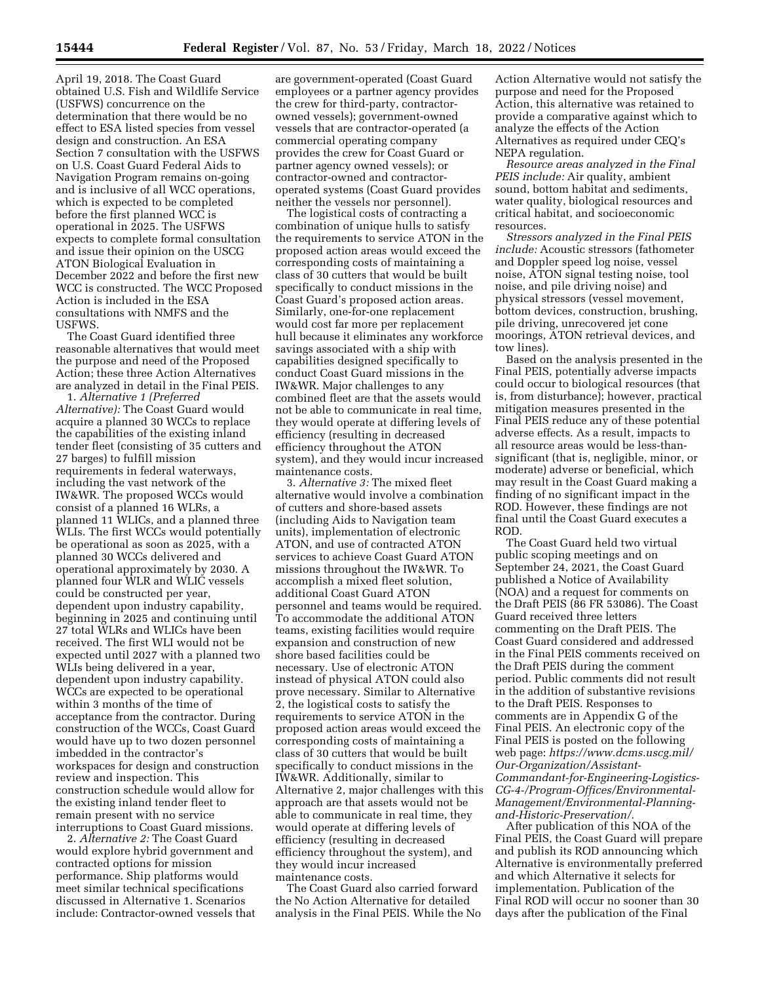April 19, 2018. The Coast Guard obtained U.S. Fish and Wildlife Service (USFWS) concurrence on the determination that there would be no effect to ESA listed species from vessel design and construction. An ESA Section 7 consultation with the USFWS on U.S. Coast Guard Federal Aids to Navigation Program remains on-going and is inclusive of all WCC operations, which is expected to be completed before the first planned WCC is operational in 2025. The USFWS expects to complete formal consultation and issue their opinion on the USCG ATON Biological Evaluation in December 2022 and before the first new WCC is constructed. The WCC Proposed Action is included in the ESA consultations with NMFS and the USFWS.

The Coast Guard identified three reasonable alternatives that would meet the purpose and need of the Proposed Action; these three Action Alternatives are analyzed in detail in the Final PEIS.

1. *Alternative 1 (Preferred Alternative):* The Coast Guard would acquire a planned 30 WCCs to replace the capabilities of the existing inland tender fleet (consisting of 35 cutters and 27 barges) to fulfill mission requirements in federal waterways, including the vast network of the IW&WR. The proposed WCCs would consist of a planned 16 WLRs, a planned 11 WLICs, and a planned three WLIs. The first WCCs would potentially be operational as soon as 2025, with a planned 30 WCCs delivered and operational approximately by 2030. A planned four WLR and WLIC vessels could be constructed per year, dependent upon industry capability, beginning in 2025 and continuing until 27 total WLRs and WLICs have been received. The first WLI would not be expected until 2027 with a planned two WLIs being delivered in a year, dependent upon industry capability. WCCs are expected to be operational within 3 months of the time of acceptance from the contractor. During construction of the WCCs, Coast Guard would have up to two dozen personnel imbedded in the contractor's workspaces for design and construction review and inspection. This construction schedule would allow for the existing inland tender fleet to remain present with no service interruptions to Coast Guard missions.

2. *Alternative 2:* The Coast Guard would explore hybrid government and contracted options for mission performance. Ship platforms would meet similar technical specifications discussed in Alternative 1. Scenarios include: Contractor-owned vessels that

are government-operated (Coast Guard employees or a partner agency provides the crew for third-party, contractorowned vessels); government-owned vessels that are contractor-operated (a commercial operating company provides the crew for Coast Guard or partner agency owned vessels); or contractor-owned and contractoroperated systems (Coast Guard provides neither the vessels nor personnel).

The logistical costs of contracting a combination of unique hulls to satisfy the requirements to service ATON in the proposed action areas would exceed the corresponding costs of maintaining a class of 30 cutters that would be built specifically to conduct missions in the Coast Guard's proposed action areas. Similarly, one-for-one replacement would cost far more per replacement hull because it eliminates any workforce savings associated with a ship with capabilities designed specifically to conduct Coast Guard missions in the IW&WR. Major challenges to any combined fleet are that the assets would not be able to communicate in real time, they would operate at differing levels of efficiency (resulting in decreased efficiency throughout the ATON system), and they would incur increased maintenance costs.

3. *Alternative 3:* The mixed fleet alternative would involve a combination of cutters and shore-based assets (including Aids to Navigation team units), implementation of electronic ATON, and use of contracted ATON services to achieve Coast Guard ATON missions throughout the IW&WR. To accomplish a mixed fleet solution, additional Coast Guard ATON personnel and teams would be required. To accommodate the additional ATON teams, existing facilities would require expansion and construction of new shore based facilities could be necessary. Use of electronic ATON instead of physical ATON could also prove necessary. Similar to Alternative 2, the logistical costs to satisfy the requirements to service ATON in the proposed action areas would exceed the corresponding costs of maintaining a class of 30 cutters that would be built specifically to conduct missions in the IW&WR. Additionally, similar to Alternative 2, major challenges with this approach are that assets would not be able to communicate in real time, they would operate at differing levels of efficiency (resulting in decreased efficiency throughout the system), and they would incur increased maintenance costs.

The Coast Guard also carried forward the No Action Alternative for detailed analysis in the Final PEIS. While the No

Action Alternative would not satisfy the purpose and need for the Proposed Action, this alternative was retained to provide a comparative against which to analyze the effects of the Action Alternatives as required under CEQ's NEPA regulation.

*Resource areas analyzed in the Final PEIS include:* Air quality, ambient sound, bottom habitat and sediments, water quality, biological resources and critical habitat, and socioeconomic resources.

*Stressors analyzed in the Final PEIS include:* Acoustic stressors (fathometer and Doppler speed log noise, vessel noise, ATON signal testing noise, tool noise, and pile driving noise) and physical stressors (vessel movement, bottom devices, construction, brushing, pile driving, unrecovered jet cone moorings, ATON retrieval devices, and tow lines).

Based on the analysis presented in the Final PEIS, potentially adverse impacts could occur to biological resources (that is, from disturbance); however, practical mitigation measures presented in the Final PEIS reduce any of these potential adverse effects. As a result, impacts to all resource areas would be less-thansignificant (that is, negligible, minor, or moderate) adverse or beneficial, which may result in the Coast Guard making a finding of no significant impact in the ROD. However, these findings are not final until the Coast Guard executes a ROD.

The Coast Guard held two virtual public scoping meetings and on September 24, 2021, the Coast Guard published a Notice of Availability (NOA) and a request for comments on the Draft PEIS (86 FR 53086). The Coast Guard received three letters commenting on the Draft PEIS. The Coast Guard considered and addressed in the Final PEIS comments received on the Draft PEIS during the comment period. Public comments did not result in the addition of substantive revisions to the Draft PEIS. Responses to comments are in Appendix G of the Final PEIS. An electronic copy of the Final PEIS is posted on the following web page: *[https://www.dcms.uscg.mil/](https://www.dcms.uscg.mil/Our-Organization/Assistant-Commandant-for-Engineering-Logistics-CG-4-/Program-Offices/Environmental-Management/Environmental-Planning-and-Historic-Preservation/)  [Our-Organization/Assistant-](https://www.dcms.uscg.mil/Our-Organization/Assistant-Commandant-for-Engineering-Logistics-CG-4-/Program-Offices/Environmental-Management/Environmental-Planning-and-Historic-Preservation/)[Commandant-for-Engineering-Logistics-](https://www.dcms.uscg.mil/Our-Organization/Assistant-Commandant-for-Engineering-Logistics-CG-4-/Program-Offices/Environmental-Management/Environmental-Planning-and-Historic-Preservation/)[CG-4-/Program-Offices/Environmental-](https://www.dcms.uscg.mil/Our-Organization/Assistant-Commandant-for-Engineering-Logistics-CG-4-/Program-Offices/Environmental-Management/Environmental-Planning-and-Historic-Preservation/)[Management/Environmental-Planning](https://www.dcms.uscg.mil/Our-Organization/Assistant-Commandant-for-Engineering-Logistics-CG-4-/Program-Offices/Environmental-Management/Environmental-Planning-and-Historic-Preservation/)[and-Historic-Preservation/.](https://www.dcms.uscg.mil/Our-Organization/Assistant-Commandant-for-Engineering-Logistics-CG-4-/Program-Offices/Environmental-Management/Environmental-Planning-and-Historic-Preservation/)* 

After publication of this NOA of the Final PEIS, the Coast Guard will prepare and publish its ROD announcing which Alternative is environmentally preferred and which Alternative it selects for implementation. Publication of the Final ROD will occur no sooner than 30 days after the publication of the Final